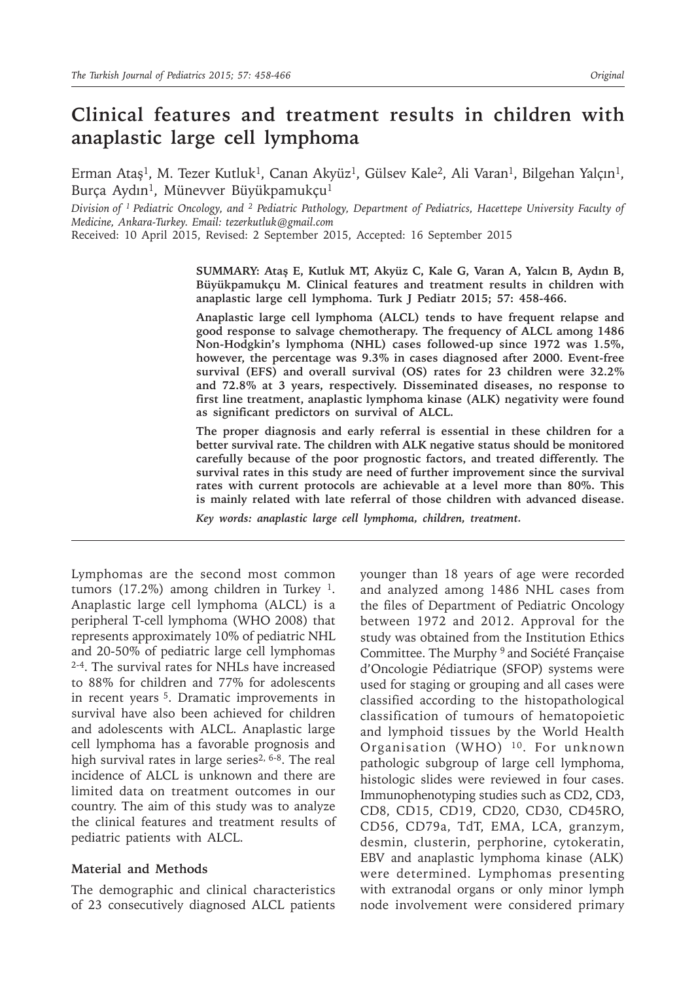# **Clinical features and treatment results in children with anaplastic large cell lymphoma**

Erman Ataş<sup>1</sup>, M. Tezer Kutluk<sup>1</sup>, Canan Akyüz<sup>1</sup>, Gülsev Kale<sup>2</sup>, Ali Varan<sup>1</sup>, Bilgehan Yalçın<sup>1</sup>, Burça Aydın<sup>1</sup>, Münevver Büyükpamukçu<sup>1</sup>

*Division of 1 Pediatric Oncology, and <sup>2</sup> Pediatric Pathology, Department of Pediatrics, Hacettepe University Faculty of Medicine, Ankara-Turkey. Email: tezerkutluk@gmail.com*

Received: 10 April 2015, Revised: 2 September 2015, Accepted: 16 September 2015

**SUMMARY: Ataş E, Kutluk MT, Akyüz C, Kale G, Varan A, Yalcın B, Aydın B, Büyükpamukçu M. Clinical features and treatment results in children with anaplastic large cell lymphoma. Turk J Pediatr 2015; 57: 458-466.**

**Anaplastic large cell lymphoma (ALCL) tends to have frequent relapse and good response to salvage chemotherapy. The frequency of ALCL among 1486 Non-Hodgkin's lymphoma (NHL) cases followed-up since 1972 was 1.5%, however, the percentage was 9.3% in cases diagnosed after 2000. Event-free survival (EFS) and overall survival (OS) rates for 23 children were 32.2% and 72.8% at 3 years, respectively. Disseminated diseases, no response to first line treatment, anaplastic lymphoma kinase (ALK) negativity were found as significant predictors on survival of ALCL.** 

**The proper diagnosis and early referral is essential in these children for a better survival rate. The children with ALK negative status should be monitored carefully because of the poor prognostic factors, and treated differently. The survival rates in this study are need of further improvement since the survival rates with current protocols are achievable at a level more than 80%. This is mainly related with late referral of those children with advanced disease.** 

*Key words: anaplastic large cell lymphoma, children, treatment.*

Lymphomas are the second most common tumors (17.2%) among children in Turkey  $1$ . Anaplastic large cell lymphoma (ALCL) is a peripheral T-cell lymphoma (WHO 2008) that represents approximately 10% of pediatric NHL and 20-50% of pediatric large cell lymphomas <sup>2-4</sup>. The survival rates for NHLs have increased to 88% for children and 77% for adolescents in recent years <sup>5</sup>. Dramatic improvements in survival have also been achieved for children and adolescents with ALCL. Anaplastic large cell lymphoma has a favorable prognosis and high survival rates in large series<sup>2, 6-8</sup>. The real incidence of ALCL is unknown and there are limited data on treatment outcomes in our country. The aim of this study was to analyze the clinical features and treatment results of pediatric patients with ALCL.

#### **Material and Methods**

The demographic and clinical characteristics of 23 consecutively diagnosed ALCL patients

younger than 18 years of age were recorded and analyzed among 1486 NHL cases from the files of Department of Pediatric Oncology between 1972 and 2012. Approval for the study was obtained from the Institution Ethics Committee. The Murphy 9 and Société Française d'Oncologie Pédiatrique (SFOP) systems were used for staging or grouping and all cases were classified according to the histopathological classification of tumours of hematopoietic and lymphoid tissues by the World Health Organisation (WHO) <sup>10</sup>. For unknown pathologic subgroup of large cell lymphoma, histologic slides were reviewed in four cases. Immunophenotyping studies such as CD2, CD3, CD8, CD15, CD19, CD20, CD30, CD45RO, CD56, CD79a, TdT, EMA, LCA, granzym, desmin, clusterin, perphorine, cytokeratin, EBV and anaplastic lymphoma kinase (ALK) were determined. Lymphomas presenting with extranodal organs or only minor lymph node involvement were considered primary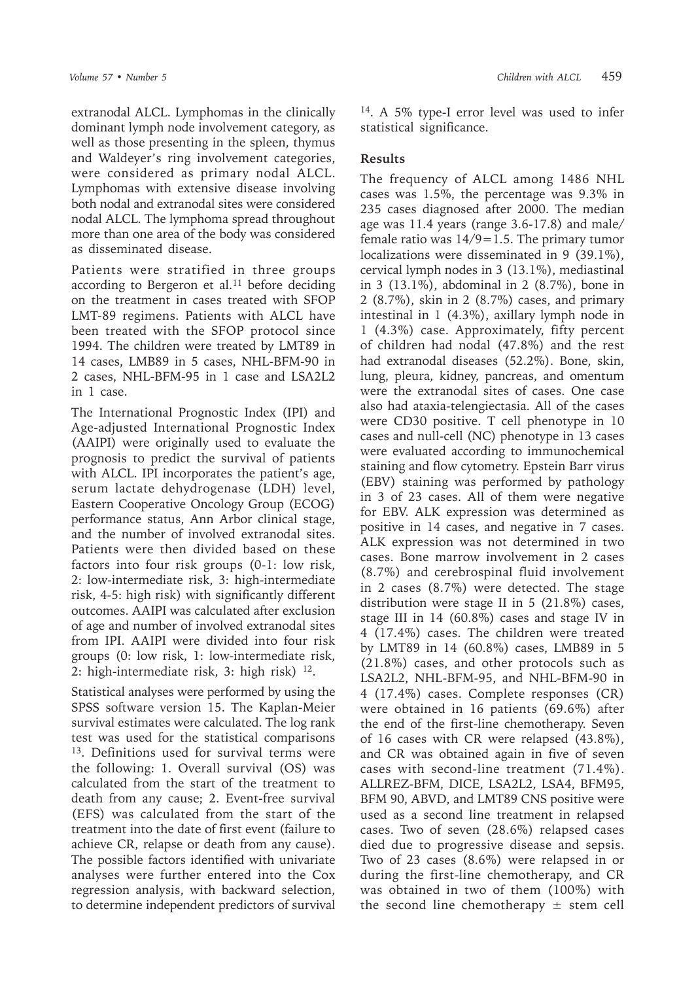extranodal ALCL. Lymphomas in the clinically dominant lymph node involvement category, as well as those presenting in the spleen, thymus and Waldeyer's ring involvement categories, were considered as primary nodal ALCL. Lymphomas with extensive disease involving both nodal and extranodal sites were considered nodal ALCL. The lymphoma spread throughout more than one area of the body was considered as disseminated disease.

Patients were stratified in three groups according to Bergeron et al. $11$  before deciding on the treatment in cases treated with SFOP LMT-89 regimens. Patients with ALCL have been treated with the SFOP protocol since 1994. The children were treated by LMT89 in 14 cases, LMB89 in 5 cases, NHL-BFM-90 in 2 cases, NHL-BFM-95 in 1 case and LSA2L2 in 1 case.

The International Prognostic Index (IPI) and Age-adjusted International Prognostic Index (AAIPI) were originally used to evaluate the prognosis to predict the survival of patients with ALCL. IPI incorporates the patient's age, serum lactate dehydrogenase (LDH) level, Eastern Cooperative Oncology Group (ECOG) performance status, Ann Arbor clinical stage, and the number of involved extranodal sites. Patients were then divided based on these factors into four risk groups (0-1: low risk, 2: low-intermediate risk, 3: high-intermediate risk, 4-5: high risk) with significantly different outcomes. AAIPI was calculated after exclusion of age and number of involved extranodal sites from IPI. AAIPI were divided into four risk groups (0: low risk, 1: low-intermediate risk, 2: high-intermediate risk, 3: high risk) <sup>12</sup>.

Statistical analyses were performed by using the SPSS software version 15. The Kaplan-Meier survival estimates were calculated. The log rank test was used for the statistical comparisons <sup>13</sup>. Definitions used for survival terms were the following: 1. Overall survival (OS) was calculated from the start of the treatment to death from any cause; 2. Event-free survival (EFS) was calculated from the start of the treatment into the date of first event (failure to achieve CR, relapse or death from any cause). The possible factors identified with univariate analyses were further entered into the Cox regression analysis, with backward selection, to determine independent predictors of survival

<sup>14</sup>. A 5% type-I error level was used to infer statistical significance.

## **Results**

The frequency of ALCL among 1486 NHL cases was 1.5%, the percentage was 9.3% in 235 cases diagnosed after 2000. The median age was 11.4 years (range 3.6-17.8) and male/ female ratio was  $14/9=1.5$ . The primary tumor localizations were disseminated in 9 (39.1%), cervical lymph nodes in 3 (13.1%), mediastinal in 3 (13.1%), abdominal in 2 (8.7%), bone in 2 (8.7%), skin in 2 (8.7%) cases, and primary intestinal in 1 (4.3%), axillary lymph node in 1 (4.3%) case. Approximately, fifty percent of children had nodal (47.8%) and the rest had extranodal diseases (52.2%). Bone, skin, lung, pleura, kidney, pancreas, and omentum were the extranodal sites of cases. One case also had ataxia-telengiectasia. All of the cases were CD30 positive. T cell phenotype in 10 cases and null-cell (NC) phenotype in 13 cases were evaluated according to immunochemical staining and flow cytometry. Epstein Barr virus (EBV) staining was performed by pathology in 3 of 23 cases. All of them were negative for EBV. ALK expression was determined as positive in 14 cases, and negative in 7 cases. ALK expression was not determined in two cases. Bone marrow involvement in 2 cases (8.7%) and cerebrospinal fluid involvement in 2 cases (8.7%) were detected. The stage distribution were stage II in 5 (21.8%) cases, stage III in 14 (60.8%) cases and stage IV in 4 (17.4%) cases. The children were treated by LMT89 in 14 (60.8%) cases, LMB89 in 5 (21.8%) cases, and other protocols such as LSA2L2, NHL-BFM-95, and NHL-BFM-90 in 4 (17.4%) cases. Complete responses (CR) were obtained in 16 patients (69.6%) after the end of the first-line chemotherapy. Seven of 16 cases with CR were relapsed (43.8%), and CR was obtained again in five of seven cases with second-line treatment (71.4%). ALLREZ-BFM, DICE, LSA2L2, LSA4, BFM95, BFM 90, ABVD, and LMT89 CNS positive were used as a second line treatment in relapsed cases. Two of seven (28.6%) relapsed cases died due to progressive disease and sepsis. Two of 23 cases (8.6%) were relapsed in or during the first-line chemotherapy, and CR was obtained in two of them (100%) with the second line chemotherapy  $\pm$  stem cell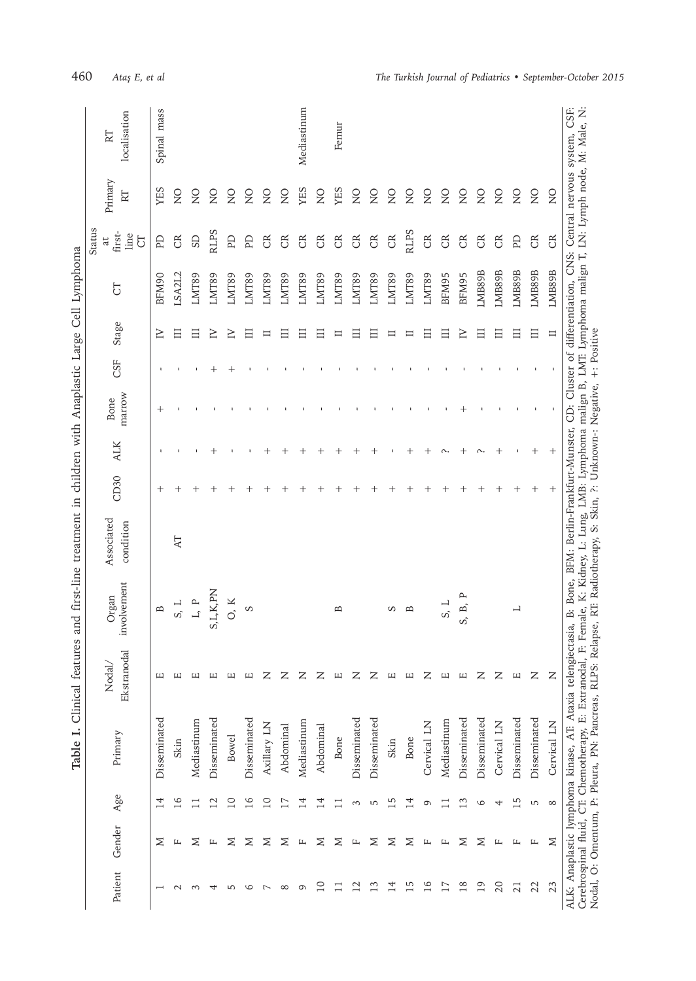|                    |        |                 |                                                                                                                                                                                                                                                                                                  |                                   | Table I. Clinical features and first-line treatment in children with Anaplastic Large |                         |        |            |                |     |        | Cell Lymphoma                        |                      |                         |                                     |
|--------------------|--------|-----------------|--------------------------------------------------------------------------------------------------------------------------------------------------------------------------------------------------------------------------------------------------------------------------------------------------|-----------------------------------|---------------------------------------------------------------------------------------|-------------------------|--------|------------|----------------|-----|--------|--------------------------------------|----------------------|-------------------------|-------------------------------------|
|                    |        |                 |                                                                                                                                                                                                                                                                                                  |                                   |                                                                                       |                         |        |            |                |     |        |                                      | Status<br>đ          |                         |                                     |
| Patient            | Gender | Age             | Primary                                                                                                                                                                                                                                                                                          | Ekstranodal<br>Nodal <sub>/</sub> | involvement<br>Organ                                                                  | Associated<br>condition | CD30   | <b>ALK</b> | marrow<br>Bone | CSF | Stage  | 5                                    | first-<br>line<br>5D | Primary<br>RT           | localisation<br>RT                  |
|                    | ⋝      | 14              | Disseminated                                                                                                                                                                                                                                                                                     | щ                                 | В                                                                                     |                         | $^{+}$ |            | $^+$           |     | ≧      | BFM90                                | E                    | YES                     | Spinal mass                         |
| $\sim$             | щ      | $\overline{16}$ | Skin                                                                                                                                                                                                                                                                                             |                                   | $\overline{a}$<br>ທົ                                                                  | <b>EV</b>               |        |            |                |     | Ξ      | SA2L2                                | ER                   | $\frac{1}{2}$           |                                     |
|                    | ⊠      |                 | Mediastinum                                                                                                                                                                                                                                                                                      |                                   | L, P                                                                                  |                         |        |            |                |     | Ξ      | LMT89                                | <b>G</b>             | $\frac{1}{2}$           |                                     |
|                    | щ      | 12              | Disseminated                                                                                                                                                                                                                                                                                     |                                   | S, L, K, PN                                                                           |                         |        | ┿          |                |     | ≥      | LMT89                                | <b>RLPS</b>          | $\frac{1}{2}$           |                                     |
| LO                 | Z      | $\overline{10}$ | <b>Bowel</b>                                                                                                                                                                                                                                                                                     |                                   | O, K                                                                                  |                         |        |            |                |     | ≧      | LMT89                                | PD                   | $\frac{1}{2}$           |                                     |
|                    | Z      | 16              | Disseminated                                                                                                                                                                                                                                                                                     |                                   | S                                                                                     |                         |        |            |                |     | 目      | LMT89                                | <b>Qd</b>            | $\frac{1}{2}$           |                                     |
|                    | Z      | $\overline{10}$ | Axillary LN                                                                                                                                                                                                                                                                                      |                                   |                                                                                       |                         |        |            |                |     | ⊟      | LMT89                                | g                    | $\frac{1}{2}$           |                                     |
| $\infty$           | $\geq$ | 17              | Abdominal                                                                                                                                                                                                                                                                                        | z                                 |                                                                                       |                         |        | $^+$       |                |     | Ξ      | LMT89                                | g                    | $\frac{1}{2}$           |                                     |
| Ō                  | щ      | 14              | Mediastinum                                                                                                                                                                                                                                                                                      | z                                 |                                                                                       |                         |        | $^+$       |                |     | Ξ      | LMT89                                | g                    | YES                     | Mediastinum                         |
| $\Xi$              | Z      | $\overline{14}$ | Abdominal                                                                                                                                                                                                                                                                                        | z                                 |                                                                                       |                         |        | +          |                |     | Ξ      | LMT89                                | E                    | $\overline{S}$          |                                     |
|                    | Σ      | Ξ               | Bone                                                                                                                                                                                                                                                                                             | щ                                 | $\mathbf{p}$                                                                          |                         |        | $^+$       |                |     | ⊟      | LMT89                                | g                    | YES                     | Femur                               |
| $\mathop{^{\sim}}$ | щ      | ξ               | Disseminated                                                                                                                                                                                                                                                                                     | z                                 |                                                                                       |                         |        | $^+$       |                |     | Ξ      | LMT89                                | g                    | $\frac{1}{2}$           |                                     |
| $\frac{3}{2}$      | $\geq$ | S               | Disseminated                                                                                                                                                                                                                                                                                     | z                                 |                                                                                       |                         |        | $^+$       |                |     | Ξ      | LMT89                                | E                    | $\frac{1}{2}$           |                                     |
| 14                 | Σ      | $\frac{5}{1}$   | Skin                                                                                                                                                                                                                                                                                             |                                   | $\Omega$                                                                              |                         |        |            |                |     | ᆷ      | LMT89                                | E                    | $\frac{1}{2}$           |                                     |
| 15                 | Σ      | 14              | Bone                                                                                                                                                                                                                                                                                             |                                   | $\mathbf{r}$                                                                          |                         |        |            |                |     |        | LMT89                                | <b>RLPS</b>          | $\frac{1}{2}$           |                                     |
| 16                 | щ      | G               | Cervical LN                                                                                                                                                                                                                                                                                      | Z                                 |                                                                                       |                         |        |            |                |     | Ξ      | LMT89                                | E                    | $\frac{1}{2}$           |                                     |
| $\overline{17}$    | щ      | $\Xi$           | Mediastinum                                                                                                                                                                                                                                                                                      |                                   | 5, 1                                                                                  |                         |        |            |                |     | 日      | BFM95                                | E                    | $\frac{1}{2}$           |                                     |
| 18                 | z      | 13              | Disseminated                                                                                                                                                                                                                                                                                     |                                   | p.,<br>S, B,                                                                          |                         |        |            |                |     | ≧      | BFM95                                | E                    | $\frac{1}{2}$           |                                     |
| $\overline{19}$    | Σ      | 9               | Disseminated                                                                                                                                                                                                                                                                                     | Z                                 |                                                                                       |                         |        |            |                |     | Ξ      | LMB89B                               | g                    | $\frac{1}{2}$           |                                     |
| 20                 | щ      | 4               | Cervical LN                                                                                                                                                                                                                                                                                      | z                                 |                                                                                       |                         |        | $\,{}^+$   |                |     | 彐      | LMB89B                               | E                    | $\frac{1}{2}$           |                                     |
| 21                 | щ      | 15              | Disseminated                                                                                                                                                                                                                                                                                     | щ                                 | ┙                                                                                     |                         | $^+$   | ı          |                |     | 彐      | LMB89B                               | <b>Qd</b>            | $\frac{1}{2}$           |                                     |
| 22                 | 山      | LN.             | Disseminated                                                                                                                                                                                                                                                                                     | z                                 |                                                                                       |                         | $^+$   | $^{+}$     |                |     | 目      | LMB89B                               | E                    | $\frac{1}{2}$           |                                     |
| 23                 | Σ      | $\infty$        | Cervical LN                                                                                                                                                                                                                                                                                      | z                                 |                                                                                       |                         | $^{+}$ | $^{+}$     |                |     | $\Box$ | LMB89B                               | GR                   | $\frac{1}{2}$           |                                     |
|                    |        |                 | Cerebrospinal fluid, CT: Chemotherapy, E: Extranodal, F: Female, K: Kidney, L: Lung, LMB: Lymphoma malign B, LMT: Lymphoma malign T,<br>ALK: Anaplastic lymphoma kinase, AT: Ataxia telengiectasia, B: Bone, BFM: Berlin-Frankfurt-Munster,<br>Nodal, O: Omentum, P: Pleura, PN: Pancreas, RLPS: |                                   | Relapse, RT: Radiotherapy, S: Skin, ?: Unknown-: Negative, +: Positive                |                         |        |            |                |     |        | CD: Cluster of differentiation, CNS: |                      | Central nervous system, | CSF:<br>LN: Lymph node, M: Male, N: |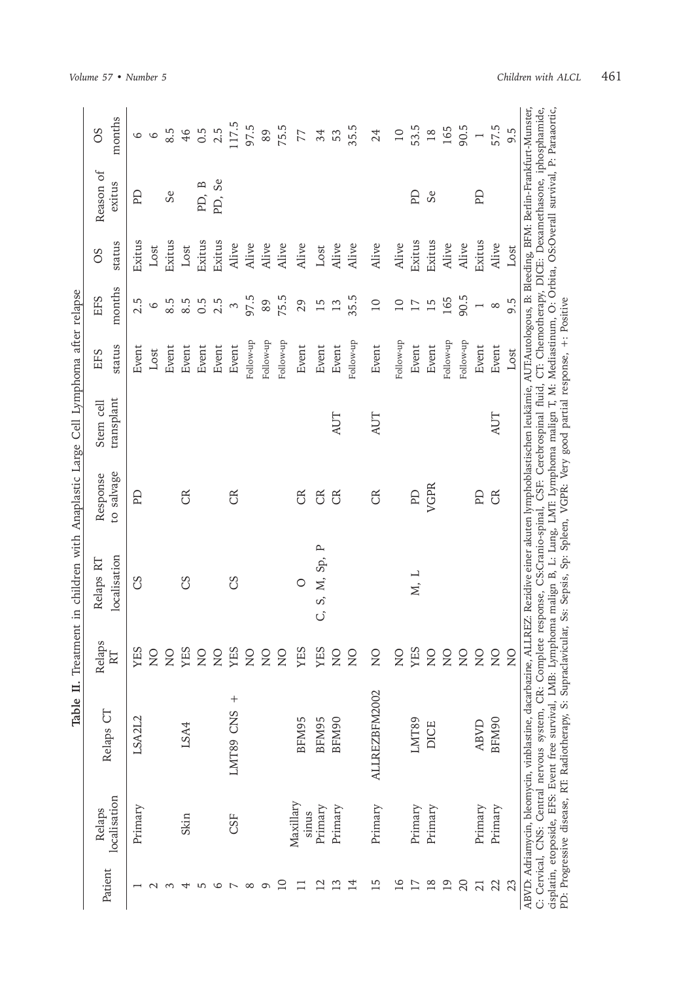|                 |                    | Table II. Tr                                                                                                                                                                                                                                                                                                                                                                                                                                                                                                                                                                                                                                                         |                | eatment in children with Anaplastic Large Cell Lymphoma after relapse |                           |            |                       |                          |        |           |                          |
|-----------------|--------------------|----------------------------------------------------------------------------------------------------------------------------------------------------------------------------------------------------------------------------------------------------------------------------------------------------------------------------------------------------------------------------------------------------------------------------------------------------------------------------------------------------------------------------------------------------------------------------------------------------------------------------------------------------------------------|----------------|-----------------------------------------------------------------------|---------------------------|------------|-----------------------|--------------------------|--------|-----------|--------------------------|
| Patient         | Relaps             | Relaps CT                                                                                                                                                                                                                                                                                                                                                                                                                                                                                                                                                                                                                                                            | Relaps         | Relaps RT                                                             | Response                  | Stem cell  | EFS                   | EFS                      | 8O     | Reason of | 8O                       |
|                 | localisation       |                                                                                                                                                                                                                                                                                                                                                                                                                                                                                                                                                                                                                                                                      | RT             | localisation                                                          | salvage<br>$\overline{c}$ | transplant | status                | months                   | status | exitus    | months                   |
|                 | Primary            | LSA2L2                                                                                                                                                                                                                                                                                                                                                                                                                                                                                                                                                                                                                                                               | YES            | SS                                                                    | R                         |            | Event                 | 2.5                      | Exitus | <b>Q</b>  | 6                        |
|                 |                    |                                                                                                                                                                                                                                                                                                                                                                                                                                                                                                                                                                                                                                                                      | $\frac{1}{2}$  |                                                                       |                           |            | Lost                  | 9                        | Lost   |           | $\circ$                  |
|                 |                    |                                                                                                                                                                                                                                                                                                                                                                                                                                                                                                                                                                                                                                                                      | $\overline{S}$ |                                                                       |                           |            | Event                 | 8.5                      | Exitus | Se        | 8.5                      |
|                 | Skin               | LSA4                                                                                                                                                                                                                                                                                                                                                                                                                                                                                                                                                                                                                                                                 | YES            | SS                                                                    | g                         |            | Event                 | 8.5                      | Lost   |           | 46                       |
|                 |                    |                                                                                                                                                                                                                                                                                                                                                                                                                                                                                                                                                                                                                                                                      | $\overline{S}$ |                                                                       |                           |            | Event                 | 0.5                      | Exitus | PD, B     |                          |
| $\circ$         |                    |                                                                                                                                                                                                                                                                                                                                                                                                                                                                                                                                                                                                                                                                      | $\overline{Q}$ |                                                                       |                           |            | Event                 | 2.5                      | Exitus | PD, Se    | $0.5$<br>$2.5$           |
|                 | CSF                | $^{+}$<br>LMT89 CNS                                                                                                                                                                                                                                                                                                                                                                                                                                                                                                                                                                                                                                                  | YES            | SS                                                                    | g                         |            | Event                 | $\infty$                 | Alive  |           | 117.5                    |
| $\infty$        |                    |                                                                                                                                                                                                                                                                                                                                                                                                                                                                                                                                                                                                                                                                      | $\overline{Q}$ |                                                                       |                           |            | Follow-up             | 97.5                     | Alive  |           | 97.5                     |
| $\sigma$        |                    |                                                                                                                                                                                                                                                                                                                                                                                                                                                                                                                                                                                                                                                                      | $\overline{Q}$ |                                                                       |                           |            | Follow-up             | 89                       | Alive  |           | 89                       |
| $\overline{a}$  |                    |                                                                                                                                                                                                                                                                                                                                                                                                                                                                                                                                                                                                                                                                      | $\overline{Q}$ |                                                                       |                           |            | Follow-up             | 75.5                     | Alive  |           | 75.5                     |
| $\Box$          | Maxillary<br>sinus | BFM95                                                                                                                                                                                                                                                                                                                                                                                                                                                                                                                                                                                                                                                                | YES            | O                                                                     | E                         |            | Event                 | 29                       | Alive  |           | 77                       |
| $\overline{2}$  | Primary            | BFM95                                                                                                                                                                                                                                                                                                                                                                                                                                                                                                                                                                                                                                                                | YES            | $\sim$<br>S, M, Sp,<br>Ö                                              | $\mathfrak{B}$            |            | Event                 | 15                       | Lost   |           | 34                       |
| 13              | Primary            | BFM90                                                                                                                                                                                                                                                                                                                                                                                                                                                                                                                                                                                                                                                                | $\rm _Z^O$     |                                                                       | g                         | <b>AUT</b> | Event                 | 13                       | Alive  |           | 53                       |
| 14              |                    |                                                                                                                                                                                                                                                                                                                                                                                                                                                                                                                                                                                                                                                                      | $\overline{Q}$ |                                                                       |                           |            | Follow-up             | 35.5                     | Alive  |           | 35.5                     |
| 15              | Primary            | ALLREZBFM2002                                                                                                                                                                                                                                                                                                                                                                                                                                                                                                                                                                                                                                                        | $\overline{Q}$ |                                                                       | $\mathbb{R}$              | AUT        | Event                 | $\overline{a}$           | Alive  |           | 24                       |
| $\overline{16}$ |                    |                                                                                                                                                                                                                                                                                                                                                                                                                                                                                                                                                                                                                                                                      | $\overline{Q}$ |                                                                       |                           |            | Follow-up             | $\overline{C}$           | Alive  |           | $\overline{10}$          |
| $\overline{17}$ | Primary            | LMT89                                                                                                                                                                                                                                                                                                                                                                                                                                                                                                                                                                                                                                                                | YES            | M, L                                                                  | P <sub>D</sub>            |            | Event                 | $\overline{17}$          | Exitus | <b>Q</b>  | 53.5                     |
| 18              | Primary            | <b>DICE</b>                                                                                                                                                                                                                                                                                                                                                                                                                                                                                                                                                                                                                                                          | $\overline{Q}$ |                                                                       | <b>VGPR</b>               |            | Event                 | 15                       | Exitus | Se        | $18\,$                   |
| 19              |                    |                                                                                                                                                                                                                                                                                                                                                                                                                                                                                                                                                                                                                                                                      | $\overline{Q}$ |                                                                       |                           |            | Follow-up             | 165                      | Alive  |           | 165                      |
| 20              |                    |                                                                                                                                                                                                                                                                                                                                                                                                                                                                                                                                                                                                                                                                      | $\frac{1}{2}$  |                                                                       |                           |            | dn-mollo <sub>2</sub> | 90.5                     | Alive  |           | 90.5                     |
| $\overline{21}$ | Primary            | <b>ABVD</b>                                                                                                                                                                                                                                                                                                                                                                                                                                                                                                                                                                                                                                                          | $\overline{Q}$ |                                                                       | <b>Qd</b>                 |            | Event                 | $\overline{\phantom{0}}$ | Exitus | <b>Qd</b> | $\overline{\phantom{0}}$ |
| 22              | Primary            | BFM90                                                                                                                                                                                                                                                                                                                                                                                                                                                                                                                                                                                                                                                                | $\overline{Q}$ |                                                                       | $\mathfrak{B}$            | <b>AUT</b> | Event                 | $\infty$                 | Alive  |           | 57.5                     |
| 23              |                    |                                                                                                                                                                                                                                                                                                                                                                                                                                                                                                                                                                                                                                                                      | $\overline{Q}$ |                                                                       |                           |            | Lost                  | 9.5                      | Lost   |           | 9.5                      |
|                 |                    | ABVD: Adriamycin, bleomycin, vinblastine, dacarbazine, ALLREZ: Rezidive einer akuten lymphoblastischen leukämie, AUT:Autologous, B: Bleeding, BFM: Berlin-Frankfurt-Munster,<br>C: Cervical, CNS: Central nervous system, CR: Complete response, CS:Cranio-spinal, CSF: Cerebrospinal fluid, CT: Chemotherapy, DICE: Dexamethasone, iphosphamide,<br>cisplatin, etoposide, EFS: Event free survival, LMB: Lymphoma malign B, L: Lung, LMT: Lymphoma malign T, M: Mediastinum, O: Orbita, OS:Overall survival, P: Paraaortic,<br>PD: Progressive disease, RT: Radiotherapy, S: Supraclavicular, Ss: Sepsis, Sp: Spleen, VGPR: Very good partial response, +: Positive |                |                                                                       |                           |            |                       |                          |        |           |                          |
|                 |                    |                                                                                                                                                                                                                                                                                                                                                                                                                                                                                                                                                                                                                                                                      |                |                                                                       |                           |            |                       |                          |        |           |                          |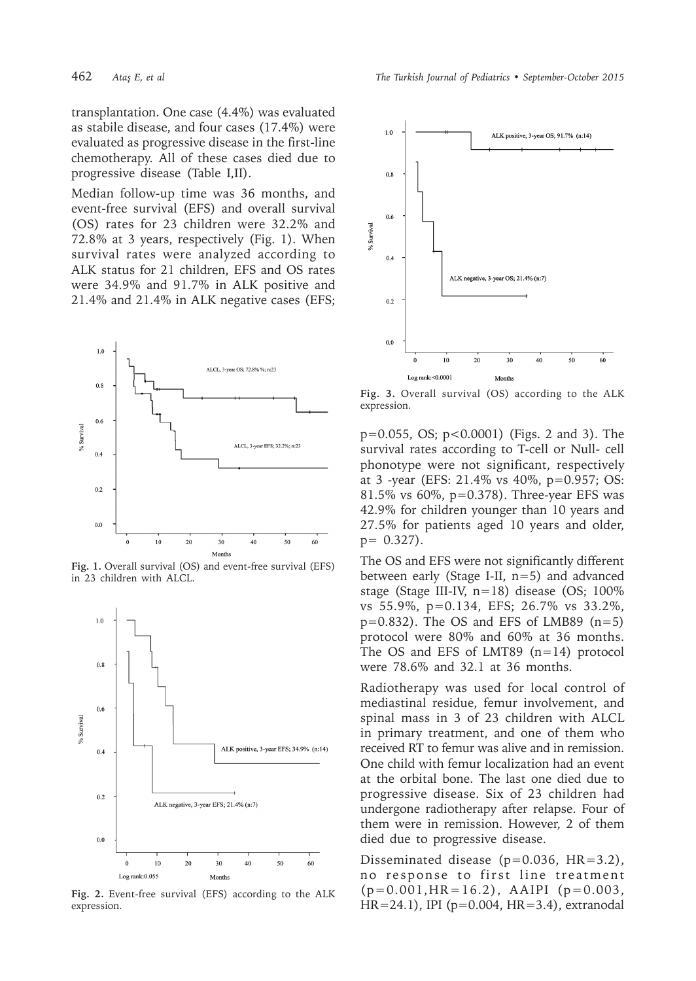transplantation. One case (4.4%) was evaluated as stabile disease, and four cases (17.4%) were evaluated as progressive disease in the first-line chemotherapy. All of these cases died due to progressive disease (Table I,II).

Median follow-up time was 36 months, and event-free survival (EFS) and overall survival (OS) rates for 23 children were 32.2% and 72.8% at 3 years, respectively (Fig. 1). When survival rates were analyzed according to ALK status for 21 children, EFS and OS rates were 34.9% and 91.7% in ALK positive and 21.4% and 21.4% in ALK negative cases (EFS;



**Fig. 1.** Overall survival (OS) and event-free survival (EFS) in 23 children with ALCL.



**Fig. 2.** Event-free survival (EFS) according to the ALK expression.



**Fig. 3.** Overall survival (OS) according to the ALK expression.

p=0.055, OS; p<0.0001) (Figs. 2 and 3). The survival rates according to T-cell or Null- cell phonotype were not significant, respectively at 3 -year (EFS: 21.4% vs 40%, p=0.957; OS: 81.5% vs 60%, p=0.378). Three-year EFS was 42.9% for children younger than 10 years and 27.5% for patients aged 10 years and older, p= 0.327).

The OS and EFS were not significantly different between early (Stage I-II, n=5) and advanced stage (Stage III-IV, n=18) disease (OS; 100% vs 55.9%, p=0.134, EFS; 26.7% vs 33.2%,  $p=0.832$ ). The OS and EFS of LMB89 (n=5) protocol were 80% and 60% at 36 months. The OS and EFS of LMT89 (n=14) protocol were 78.6% and 32.1 at 36 months.

Radiotherapy was used for local control of mediastinal residue, femur involvement, and spinal mass in 3 of 23 children with ALCL in primary treatment, and one of them who received RT to femur was alive and in remission. One child with femur localization had an event at the orbital bone. The last one died due to progressive disease. Six of 23 children had undergone radiotherapy after relapse. Four of them were in remission. However, 2 of them died due to progressive disease.

Disseminated disease (p=0.036, HR=3.2), no response to first line treatment  $(p=0.001, HR=16.2)$ , AAIPI  $(p=0.003,$  $HR=24.1$ ), IPI (p=0.004, HR=3.4), extranodal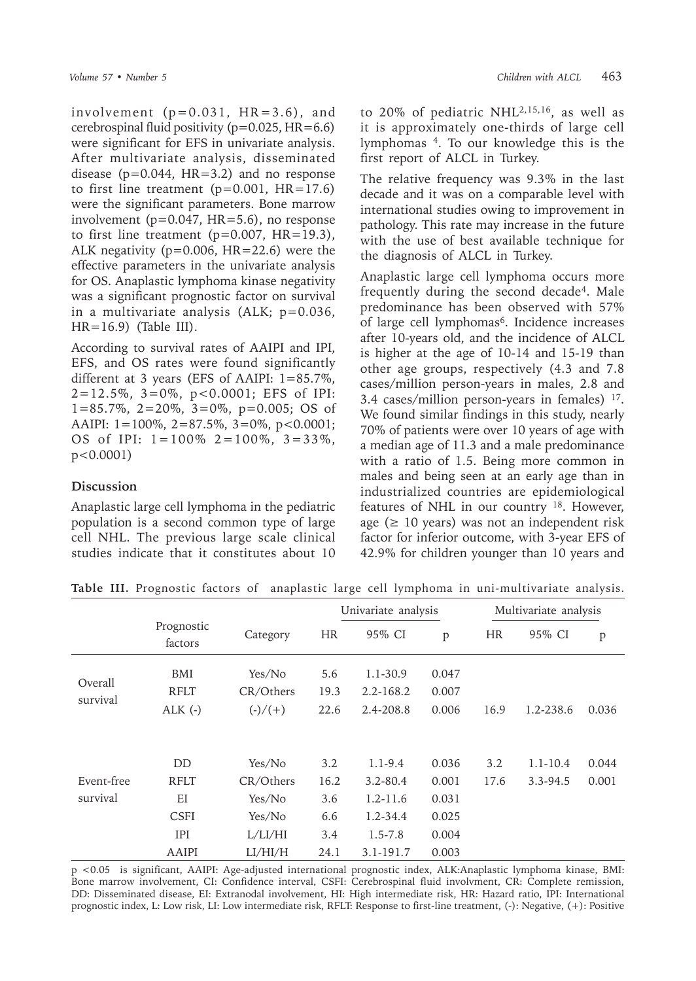involvement  $(p=0.031, HR=3.6)$ , and cerebrospinal fluid positivity ( $p=0.025$ , HR=6.6) were significant for EFS in univariate analysis. After multivariate analysis, disseminated disease ( $p=0.044$ ,  $HR=3.2$ ) and no response to first line treatment  $(p=0.001, HR=17.6)$ were the significant parameters. Bone marrow involvement ( $p=0.047$ , HR=5.6), no response to first line treatment ( $p=0.007$ , HR=19.3), ALK negativity (p=0.006, HR=22.6) were the effective parameters in the univariate analysis for OS. Anaplastic lymphoma kinase negativity was a significant prognostic factor on survival in a multivariate analysis (ALK; p=0.036,  $HR=16.9$  (Table III).

According to survival rates of AAIPI and IPI, EFS, and OS rates were found significantly different at 3 years (EFS of AAIPI: 1=85.7%, 2=12.5%, 3=0%, p<0.0001; EFS of IPI:  $1=85.7\%$ ,  $2=20\%$ ,  $3=0\%$ ,  $p=0.005$ ; OS of AAIPI: 1=100%, 2=87.5%, 3=0%, p<0.0001; OS of IPI:  $1=100\%$  2=100%, 3=33%, p<0.0001)

### **Discussion**

Anaplastic large cell lymphoma in the pediatric population is a second common type of large cell NHL. The previous large scale clinical studies indicate that it constitutes about 10 to 20% of pediatric NHL2,15,16, as well as it is approximately one-thirds of large cell lymphomas <sup>4</sup>. To our knowledge this is the first report of ALCL in Turkey.

The relative frequency was 9.3% in the last decade and it was on a comparable level with international studies owing to improvement in pathology. This rate may increase in the future with the use of best available technique for the diagnosis of ALCL in Turkey.

Anaplastic large cell lymphoma occurs more frequently during the second decade<sup>4</sup>. Male predominance has been observed with 57% of large cell lymphomas<sup>6</sup>. Incidence increases after 10-years old, and the incidence of ALCL is higher at the age of 10-14 and 15-19 than other age groups, respectively (4.3 and 7.8 cases/million person-years in males, 2.8 and 3.4 cases/million person-years in females)  $17$ . We found similar findings in this study, nearly 70% of patients were over 10 years of age with a median age of 11.3 and a male predominance with a ratio of 1.5. Being more common in males and being seen at an early age than in industrialized countries are epidemiological features of NHL in our country 18. However, age  $( \geq 10 \text{ years})$  was not an independent risk factor for inferior outcome, with 3-year EFS of 42.9% for children younger than 10 years and

**Table III.** Prognostic factors of anaplastic large cell lymphoma in uni-multivariate analysis.

|            |                            |                        |              | Univariate analysis        |                |      | Multivariate analysis |       |
|------------|----------------------------|------------------------|--------------|----------------------------|----------------|------|-----------------------|-------|
|            | Prognostic<br>factors      | Category               | <b>HR</b>    | 95% CI                     | p              | HR   | 95% CI                | p     |
| Overall    | BMI                        | Yes/No                 | 5.6          | $1.1 - 30.9$               | 0.047          |      |                       |       |
| survival   | <b>RFLT</b><br>$ALK$ $(-)$ | CR/Others<br>$(-)/(+)$ | 19.3<br>22.6 | $2.2 - 168.2$<br>2.4-208.8 | 0.007<br>0.006 | 16.9 | 1.2-238.6             | 0.036 |
|            |                            |                        |              |                            |                |      |                       |       |
|            | DD                         | Yes/No                 | 3.2          | $1.1 - 9.4$                | 0.036          | 3.2  | $1.1 - 10.4$          | 0.044 |
| Event-free | <b>RFLT</b>                | CR/Others              | 16.2         | $3.2 - 80.4$               | 0.001          | 17.6 | $3.3 - 94.5$          | 0.001 |
| survival   | ΕI                         | Yes/No                 | 3.6          | $1.2 - 11.6$               | 0.031          |      |                       |       |
|            | <b>CSFI</b>                | Yes/No                 | 6.6          | $1.2 - 34.4$               | 0.025          |      |                       |       |
|            | <b>IPI</b>                 | L/LI/HI                | 3.4          | $1.5 - 7.8$                | 0.004          |      |                       |       |
|            | AAIPI                      | LI/HI/H                | 24.1         | 3.1-191.7                  | 0.003          |      |                       |       |

p <0.05 is significant, AAIPI: Age-adjusted international prognostic index, ALK:Anaplastic lymphoma kinase, BMI: Bone marrow involvement, CI: Confidence interval, CSFI: Cerebrospinal fluid involvment, CR: Complete remission, DD: Disseminated disease, EI: Extranodal involvement, HI: High intermediate risk, HR: Hazard ratio, IPI: International prognostic index, L: Low risk, LI: Low intermediate risk, RFLT: Response to first-line treatment, (-): Negative, (+): Positive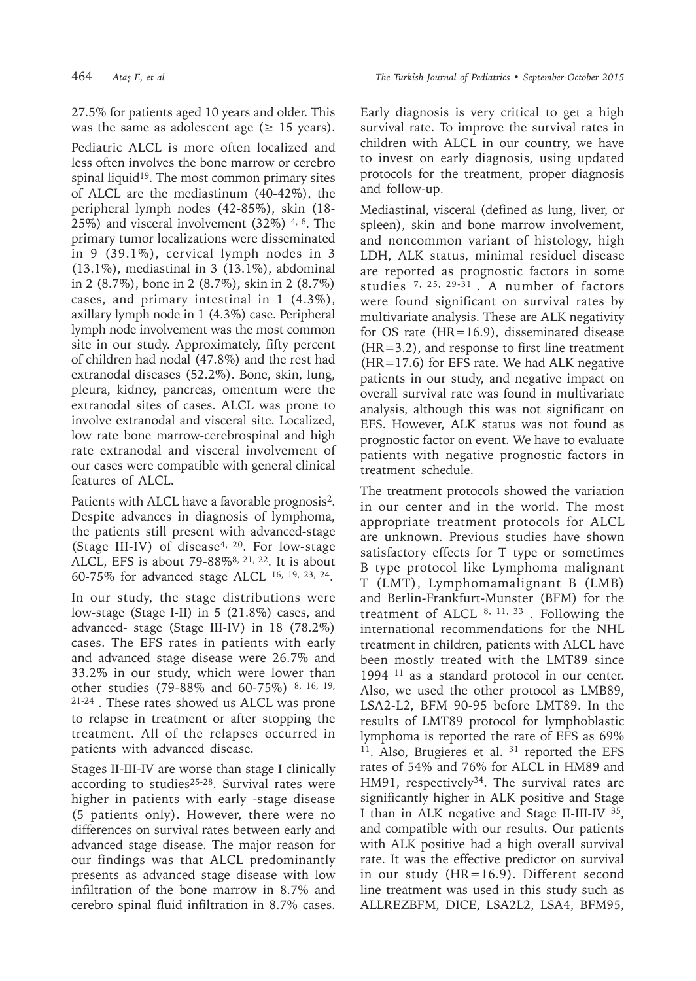27.5% for patients aged 10 years and older. This was the same as adolescent age ( $\geq$  15 years).

Pediatric ALCL is more often localized and less often involves the bone marrow or cerebro spinal liquid<sup>19</sup>. The most common primary sites of ALCL are the mediastinum (40-42%), the peripheral lymph nodes (42-85%), skin (18- 25%) and visceral involvement  $(32\%)$  <sup>4, 6</sup>. The primary tumor localizations were disseminated in 9 (39.1%), cervical lymph nodes in 3 (13.1%), mediastinal in 3 (13.1%), abdominal in 2 (8.7%), bone in 2 (8.7%), skin in 2 (8.7%) cases, and primary intestinal in  $1$  (4.3%), axillary lymph node in 1 (4.3%) case. Peripheral lymph node involvement was the most common site in our study. Approximately, fifty percent of children had nodal (47.8%) and the rest had extranodal diseases (52.2%). Bone, skin, lung, pleura, kidney, pancreas, omentum were the extranodal sites of cases. ALCL was prone to involve extranodal and visceral site. Localized, low rate bone marrow-cerebrospinal and high rate extranodal and visceral involvement of our cases were compatible with general clinical features of ALCL.

Patients with ALCL have a favorable prognosis<sup>2</sup>. Despite advances in diagnosis of lymphoma, the patients still present with advanced-stage (Stage III-IV) of disease<sup>4, 20</sup>. For low-stage ALCL, EFS is about  $79-88\%^{8, 21, 22}$ . It is about 60-75% for advanced stage ALCL 16, 19, 23, 24.

In our study, the stage distributions were low-stage (Stage I-II) in 5 (21.8%) cases, and advanced- stage (Stage III-IV) in 18 (78.2%) cases. The EFS rates in patients with early and advanced stage disease were 26.7% and 33.2% in our study, which were lower than other studies (79-88% and 60-75%) 8, 16, 19, 21-24 . These rates showed us ALCL was prone to relapse in treatment or after stopping the treatment. All of the relapses occurred in patients with advanced disease.

Stages II-III-IV are worse than stage I clinically according to studies<sup>25-28</sup>. Survival rates were higher in patients with early -stage disease (5 patients only). However, there were no differences on survival rates between early and advanced stage disease. The major reason for our findings was that ALCL predominantly presents as advanced stage disease with low infiltration of the bone marrow in 8.7% and cerebro spinal fluid infiltration in 8.7% cases.

Early diagnosis is very critical to get a high survival rate. To improve the survival rates in children with ALCL in our country, we have to invest on early diagnosis, using updated protocols for the treatment, proper diagnosis and follow-up.

Mediastinal, visceral (defined as lung, liver, or spleen), skin and bone marrow involvement, and noncommon variant of histology, high LDH, ALK status, minimal residuel disease are reported as prognostic factors in some studies 7, 25, 29-31 . A number of factors were found significant on survival rates by multivariate analysis. These are ALK negativity for OS rate (HR=16.9), disseminated disease (HR=3.2), and response to first line treatment (HR=17.6) for EFS rate. We had ALK negative patients in our study, and negative impact on overall survival rate was found in multivariate analysis, although this was not significant on EFS. However, ALK status was not found as prognostic factor on event. We have to evaluate patients with negative prognostic factors in treatment schedule.

The treatment protocols showed the variation in our center and in the world. The most appropriate treatment protocols for ALCL are unknown. Previous studies have shown satisfactory effects for T type or sometimes B type protocol like Lymphoma malignant T (LMT), Lymphomamalignant B (LMB) and Berlin-Frankfurt-Munster (BFM) for the treatment of ALCL  $8, 11, 33$ . Following the international recommendations for the NHL treatment in children, patients with ALCL have been mostly treated with the LMT89 since 1994 <sup>11</sup> as a standard protocol in our center. Also, we used the other protocol as LMB89, LSA2-L2, BFM 90-95 before LMT89. In the results of LMT89 protocol for lymphoblastic lymphoma is reported the rate of EFS as 69%  $11.$  Also, Brugieres et al.  $31$  reported the EFS rates of 54% and 76% for ALCL in HM89 and HM91, respectively<sup>34</sup>. The survival rates are significantly higher in ALK positive and Stage I than in ALK negative and Stage II-III-IV 35, and compatible with our results. Our patients with ALK positive had a high overall survival rate. It was the effective predictor on survival in our study (HR=16.9). Different second line treatment was used in this study such as ALLREZBFM, DICE, LSA2L2, LSA4, BFM95,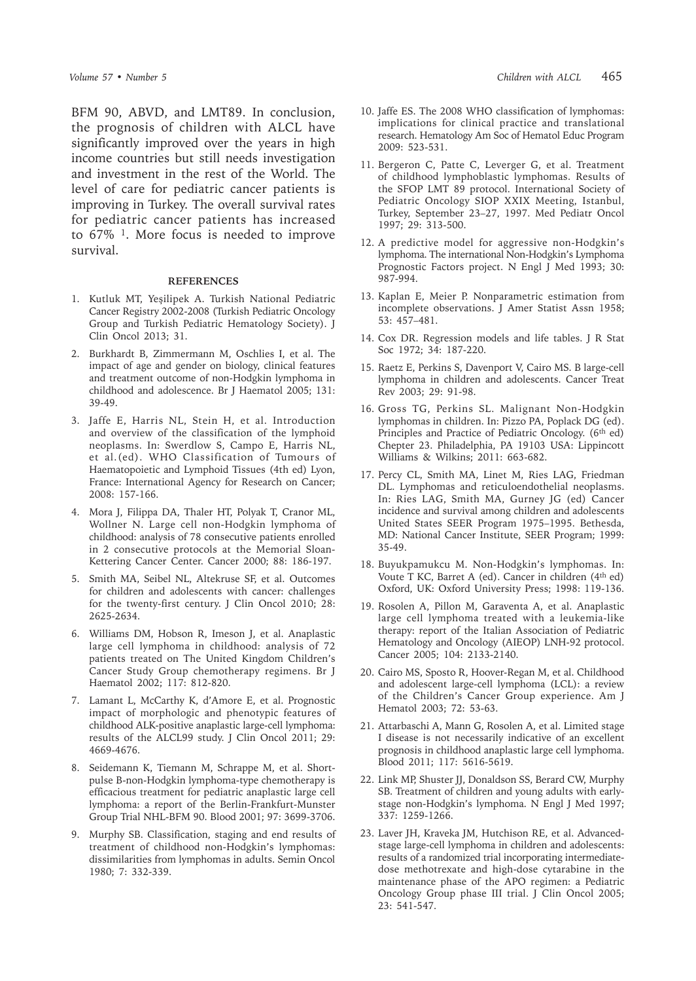BFM 90, ABVD, and LMT89. In conclusion, the prognosis of children with ALCL have significantly improved over the years in high income countries but still needs investigation and investment in the rest of the World. The level of care for pediatric cancer patients is improving in Turkey. The overall survival rates for pediatric cancer patients has increased to 67% <sup>1</sup>. More focus is needed to improve survival.

#### **REFERENCES**

- 1. Kutluk MT, Yeşilipek A. Turkish National Pediatric Cancer Registry 2002-2008 (Turkish Pediatric Oncology Group and Turkish Pediatric Hematology Society). J Clin Oncol 2013; 31.
- 2. Burkhardt B, Zimmermann M, Oschlies I, et al. The impact of age and gender on biology, clinical features and treatment outcome of non-Hodgkin lymphoma in childhood and adolescence. Br J Haematol 2005; 131: 39-49.
- 3. Jaffe E, Harris NL, Stein H, et al. Introduction and overview of the classification of the lymphoid neoplasms. In: Swerdlow S, Campo E, Harris NL, et al.(ed). WHO Classification of Tumours of Haematopoietic and Lymphoid Tissues (4th ed) Lyon, France: International Agency for Research on Cancer; 2008: 157-166.
- 4. Mora J, Filippa DA, Thaler HT, Polyak T, Cranor ML, Wollner N. Large cell non-Hodgkin lymphoma of childhood: analysis of 78 consecutive patients enrolled in 2 consecutive protocols at the Memorial Sloan-Kettering Cancer Center. Cancer 2000; 88: 186-197.
- 5. Smith MA, Seibel NL, Altekruse SF, et al. Outcomes for children and adolescents with cancer: challenges for the twenty-first century. J Clin Oncol 2010; 28: 2625-2634.
- 6. Williams DM, Hobson R, Imeson J, et al. Anaplastic large cell lymphoma in childhood: analysis of 72 patients treated on The United Kingdom Children's Cancer Study Group chemotherapy regimens. Br J Haematol 2002; 117: 812-820.
- 7. Lamant L, McCarthy K, d'Amore E, et al. Prognostic impact of morphologic and phenotypic features of childhood ALK-positive anaplastic large-cell lymphoma: results of the ALCL99 study. J Clin Oncol 2011; 29: 4669-4676.
- 8. Seidemann K, Tiemann M, Schrappe M, et al. Shortpulse B-non-Hodgkin lymphoma-type chemotherapy is efficacious treatment for pediatric anaplastic large cell lymphoma: a report of the Berlin-Frankfurt-Munster Group Trial NHL-BFM 90. Blood 2001; 97: 3699-3706.
- 9. Murphy SB. Classification, staging and end results of treatment of childhood non-Hodgkin's lymphomas: dissimilarities from lymphomas in adults. Semin Oncol 1980; 7: 332-339.
- 10. Jaffe ES. The 2008 WHO classification of lymphomas: implications for clinical practice and translational research. Hematology Am Soc of Hematol Educ Program 2009: 523-531.
- 11. Bergeron C, Patte C, Leverger G, et al. Treatment of childhood lymphoblastic lymphomas. Results of the SFOP LMT 89 protocol. International Society of Pediatric Oncology SIOP XXIX Meeting, Istanbul, Turkey, September 23–27, 1997. Med Pediatr Oncol 1997; 29: 313-500.
- 12. A predictive model for aggressive non-Hodgkin's lymphoma. The international Non-Hodgkin's Lymphoma Prognostic Factors project. N Engl J Med 1993; 30: 987-994.
- 13. Kaplan E, Meier P. Nonparametric estimation from incomplete observations. J Amer Statist Assn 1958; 53: 457–481.
- 14. Cox DR. Regression models and life tables. J R Stat Soc 1972; 34: 187-220.
- 15. Raetz E, Perkins S, Davenport V, Cairo MS. B large-cell lymphoma in children and adolescents. Cancer Treat Rev 2003; 29: 91-98.
- 16. Gross TG, Perkins SL. Malignant Non-Hodgkin lymphomas in children. In: Pizzo PA, Poplack DG (ed). Principles and Practice of Pediatric Oncology. (6<sup>th</sup> ed) Chepter 23. Philadelphia, PA 19103 USA: Lippincott Williams & Wilkins; 2011: 663-682.
- 17. Percy CL, Smith MA, Linet M, Ries LAG, Friedman DL. Lymphomas and reticuloendothelial neoplasms. In: Ries LAG, Smith MA, Gurney JG (ed) Cancer incidence and survival among children and adolescents United States SEER Program 1975–1995. Bethesda, MD: National Cancer Institute, SEER Program; 1999: 35-49.
- 18. Buyukpamukcu M. Non-Hodgkin's lymphomas. In: Voute T KC, Barret A (ed). Cancer in children (4th ed) Oxford, UK: Oxford University Press; 1998: 119-136.
- 19. Rosolen A, Pillon M, Garaventa A, et al. Anaplastic large cell lymphoma treated with a leukemia-like therapy: report of the Italian Association of Pediatric Hematology and Oncology (AIEOP) LNH-92 protocol. Cancer 2005; 104: 2133-2140.
- 20. Cairo MS, Sposto R, Hoover-Regan M, et al. Childhood and adolescent large-cell lymphoma (LCL): a review of the Children's Cancer Group experience. Am J Hematol 2003; 72: 53-63.
- 21. Attarbaschi A, Mann G, Rosolen A, et al. Limited stage I disease is not necessarily indicative of an excellent prognosis in childhood anaplastic large cell lymphoma. Blood 2011; 117: 5616-5619.
- 22. Link MP, Shuster JJ, Donaldson SS, Berard CW, Murphy SB. Treatment of children and young adults with earlystage non-Hodgkin's lymphoma. N Engl J Med 1997; 337: 1259-1266.
- 23. Laver JH, Kraveka JM, Hutchison RE, et al. Advancedstage large-cell lymphoma in children and adolescents: results of a randomized trial incorporating intermediatedose methotrexate and high-dose cytarabine in the maintenance phase of the APO regimen: a Pediatric Oncology Group phase III trial. J Clin Oncol 2005; 23: 541-547.